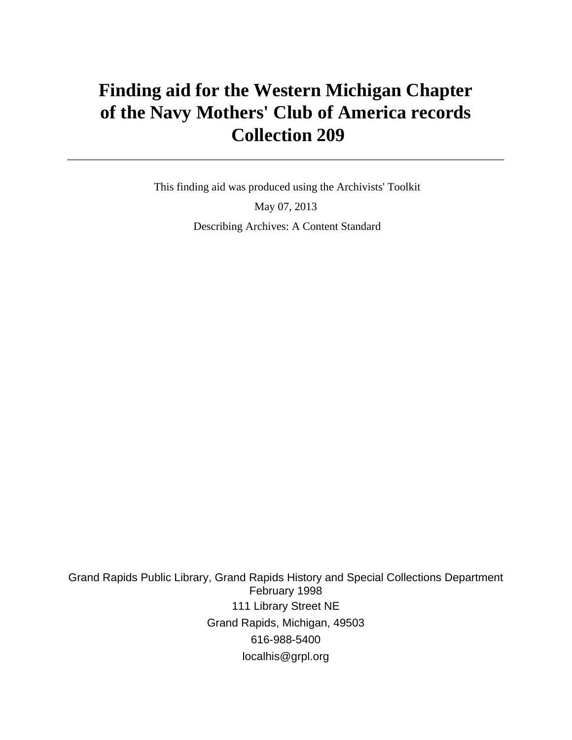# **Finding aid for the Western Michigan Chapter of the Navy Mothers' Club of America records Collection 209**

 This finding aid was produced using the Archivists' Toolkit May 07, 2013 Describing Archives: A Content Standard

Grand Rapids Public Library, Grand Rapids History and Special Collections Department February 1998 111 Library Street NE Grand Rapids, Michigan, 49503 616-988-5400 localhis@grpl.org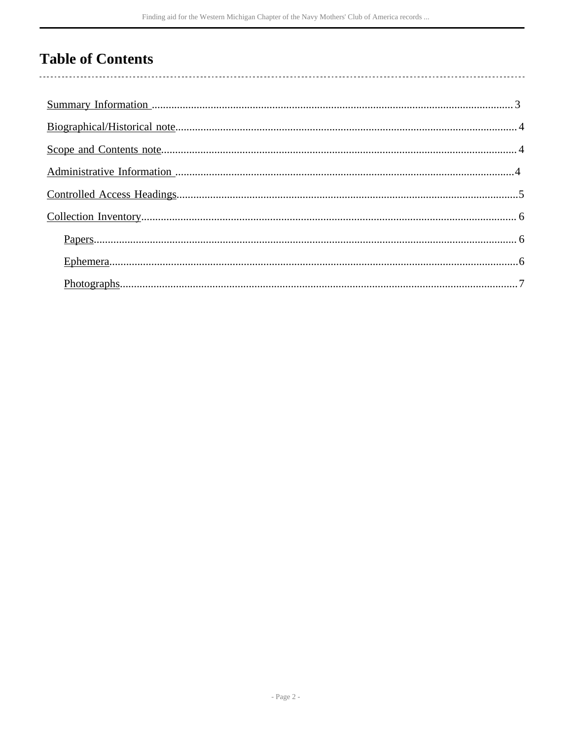## **Table of Contents**

 $\overline{\phantom{a}}$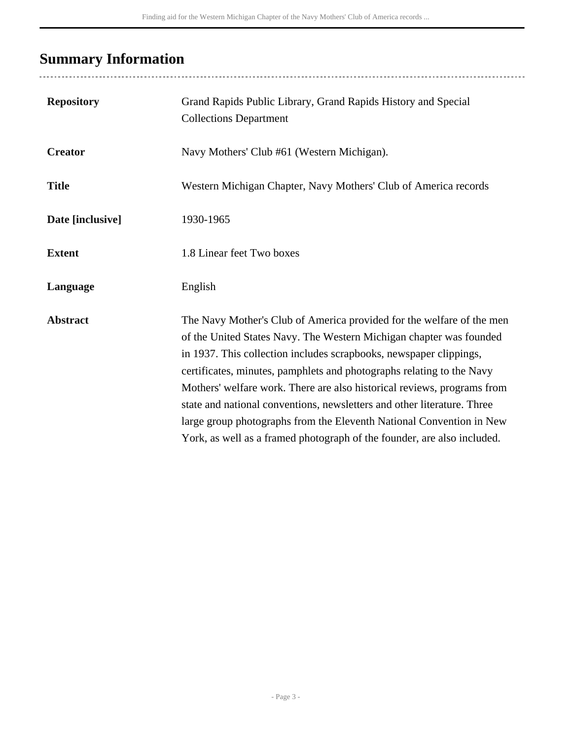# <span id="page-2-0"></span>**Summary Information**

| <b>Repository</b> | Grand Rapids Public Library, Grand Rapids History and Special<br><b>Collections Department</b>                                                                                                                                                                                                                                                                                                                                                                                                                                                                                                       |
|-------------------|------------------------------------------------------------------------------------------------------------------------------------------------------------------------------------------------------------------------------------------------------------------------------------------------------------------------------------------------------------------------------------------------------------------------------------------------------------------------------------------------------------------------------------------------------------------------------------------------------|
| <b>Creator</b>    | Navy Mothers' Club #61 (Western Michigan).                                                                                                                                                                                                                                                                                                                                                                                                                                                                                                                                                           |
| <b>Title</b>      | Western Michigan Chapter, Navy Mothers' Club of America records                                                                                                                                                                                                                                                                                                                                                                                                                                                                                                                                      |
| Date [inclusive]  | 1930-1965                                                                                                                                                                                                                                                                                                                                                                                                                                                                                                                                                                                            |
| <b>Extent</b>     | 1.8 Linear feet Two boxes                                                                                                                                                                                                                                                                                                                                                                                                                                                                                                                                                                            |
| Language          | English                                                                                                                                                                                                                                                                                                                                                                                                                                                                                                                                                                                              |
| <b>Abstract</b>   | The Navy Mother's Club of America provided for the welfare of the men<br>of the United States Navy. The Western Michigan chapter was founded<br>in 1937. This collection includes scrapbooks, newspaper clippings,<br>certificates, minutes, pamphlets and photographs relating to the Navy<br>Mothers' welfare work. There are also historical reviews, programs from<br>state and national conventions, newsletters and other literature. Three<br>large group photographs from the Eleventh National Convention in New<br>York, as well as a framed photograph of the founder, are also included. |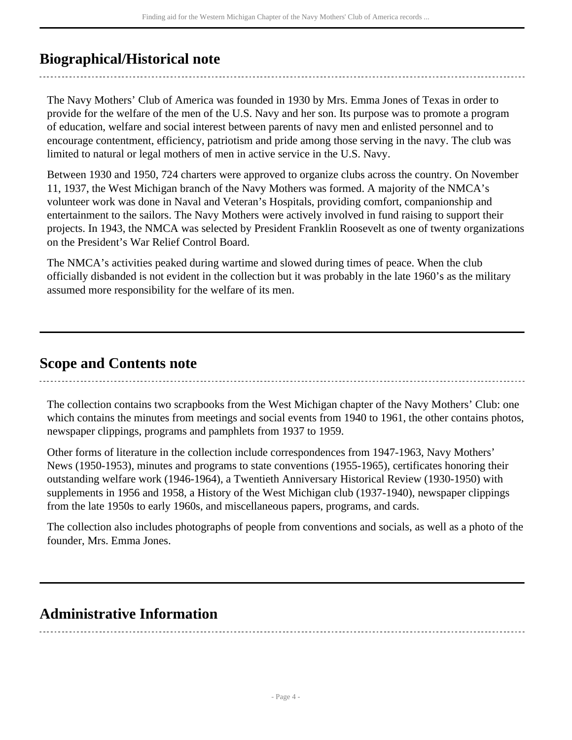## <span id="page-3-0"></span>**Biographical/Historical note**

The Navy Mothers' Club of America was founded in 1930 by Mrs. Emma Jones of Texas in order to provide for the welfare of the men of the U.S. Navy and her son. Its purpose was to promote a program of education, welfare and social interest between parents of navy men and enlisted personnel and to encourage contentment, efficiency, patriotism and pride among those serving in the navy. The club was limited to natural or legal mothers of men in active service in the U.S. Navy.

Between 1930 and 1950, 724 charters were approved to organize clubs across the country. On November 11, 1937, the West Michigan branch of the Navy Mothers was formed. A majority of the NMCA's volunteer work was done in Naval and Veteran's Hospitals, providing comfort, companionship and entertainment to the sailors. The Navy Mothers were actively involved in fund raising to support their projects. In 1943, the NMCA was selected by President Franklin Roosevelt as one of twenty organizations on the President's War Relief Control Board.

The NMCA's activities peaked during wartime and slowed during times of peace. When the club officially disbanded is not evident in the collection but it was probably in the late 1960's as the military assumed more responsibility for the welfare of its men.

### <span id="page-3-1"></span>**Scope and Contents note**

The collection contains two scrapbooks from the West Michigan chapter of the Navy Mothers' Club: one which contains the minutes from meetings and social events from 1940 to 1961, the other contains photos, newspaper clippings, programs and pamphlets from 1937 to 1959.

Other forms of literature in the collection include correspondences from 1947-1963, Navy Mothers' News (1950-1953), minutes and programs to state conventions (1955-1965), certificates honoring their outstanding welfare work (1946-1964), a Twentieth Anniversary Historical Review (1930-1950) with supplements in 1956 and 1958, a History of the West Michigan club (1937-1940), newspaper clippings from the late 1950s to early 1960s, and miscellaneous papers, programs, and cards.

The collection also includes photographs of people from conventions and socials, as well as a photo of the founder, Mrs. Emma Jones.

## <span id="page-3-2"></span>**Administrative Information**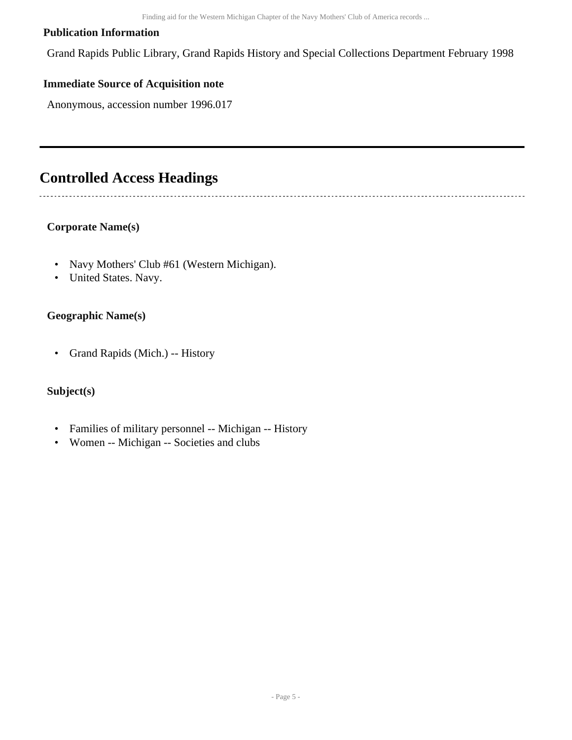#### **Publication Information**

Grand Rapids Public Library, Grand Rapids History and Special Collections Department February 1998

#### **Immediate Source of Acquisition note**

Anonymous, accession number 1996.017

### <span id="page-4-0"></span>**Controlled Access Headings**

#### **Corporate Name(s)**

- Navy Mothers' Club #61 (Western Michigan).
- United States. Navy.

#### **Geographic Name(s)**

• Grand Rapids (Mich.) -- History

#### **Subject(s)**

- Families of military personnel -- Michigan -- History
- Women -- Michigan -- Societies and clubs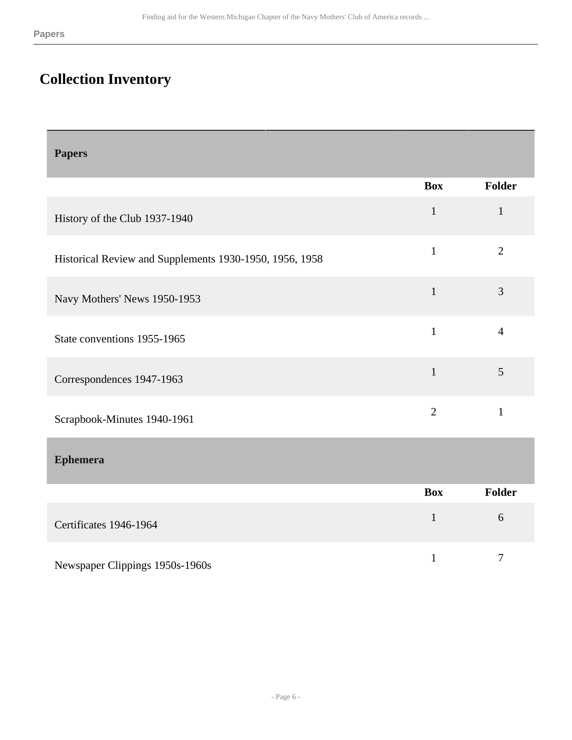## <span id="page-5-0"></span>**Collection Inventory**

<span id="page-5-2"></span><span id="page-5-1"></span>

| <b>Papers</b>                                           |                |                |
|---------------------------------------------------------|----------------|----------------|
|                                                         | <b>Box</b>     | <b>Folder</b>  |
| History of the Club 1937-1940                           | $\mathbf{1}$   | $\mathbf{1}$   |
| Historical Review and Supplements 1930-1950, 1956, 1958 | $\mathbf{1}$   | $\overline{2}$ |
| Navy Mothers' News 1950-1953                            | $\mathbf{1}$   | 3              |
| State conventions 1955-1965                             | $\mathbf{1}$   | $\overline{4}$ |
| Correspondences 1947-1963                               | $\mathbf{1}$   | 5              |
| Scrapbook-Minutes 1940-1961                             | $\overline{2}$ | $\mathbf{1}$   |
| <b>Ephemera</b>                                         |                |                |
|                                                         | <b>Box</b>     | <b>Folder</b>  |
| Certificates 1946-1964                                  | $\mathbf{1}$   | $6\,$          |
| Newspaper Clippings 1950s-1960s                         | $\mathbf{1}$   | $\overline{7}$ |